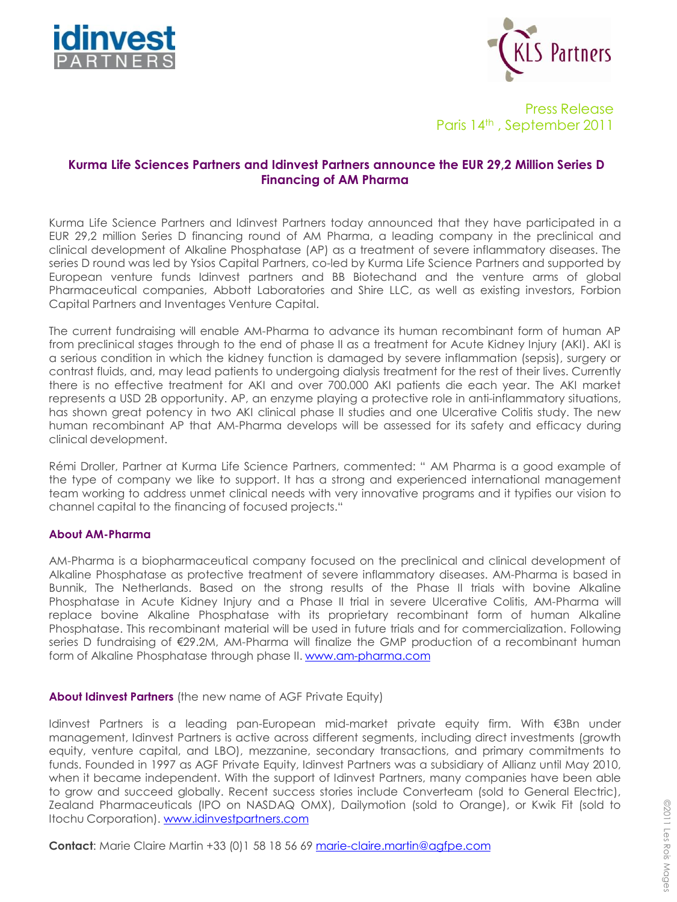



Press Release Paris 14th , September 2011

## **Kurma Life Sciences Partners and Idinvest Partners announce the EUR 29,2 Million Series D Financing of AM Pharma**

Kurma Life Science Partners and Idinvest Partners today announced that they have participated in a EUR 29,2 million Series D financing round of AM Pharma, a leading company in the preclinical and clinical development of Alkaline Phosphatase (AP) as a treatment of severe inflammatory diseases. The series D round was led by Ysios Capital Partners, co-led by Kurma Life Science Partners and supported by European venture funds Idinvest partners and BB Biotechand and the venture arms of global Pharmaceutical companies, Abbott Laboratories and Shire LLC, as well as existing investors, Forbion Capital Partners and Inventages Venture Capital.

The current fundraising will enable AM-Pharma to advance its human recombinant form of human AP from preclinical stages through to the end of phase II as a treatment for Acute Kidney Injury (AKI). AKI is a serious condition in which the kidney function is damaged by severe inflammation (sepsis), surgery or contrast fluids, and, may lead patients to undergoing dialysis treatment for the rest of their lives. Currently there is no effective treatment for AKI and over 700.000 AKI patients die each year. The AKI market represents a USD 2B opportunity. AP, an enzyme playing a protective role in anti-inflammatory situations, has shown great potency in two AKI clinical phase II studies and one Ulcerative Colitis study. The new human recombinant AP that AM-Pharma develops will be assessed for its safety and efficacy during clinical development.

Rémi Droller, Partner at Kurma Life Science Partners, commented: " AM Pharma is a good example of the type of company we like to support. It has a strong and experienced international management team working to address unmet clinical needs with very innovative programs and it typifies our vision to channel capital to the financing of focused projects."

## **About AM-Pharma**

AM-Pharma is a biopharmaceutical company focused on the preclinical and clinical development of Alkaline Phosphatase as protective treatment of severe inflammatory diseases. AM-Pharma is based in Bunnik, The Netherlands. Based on the strong results of the Phase II trials with bovine Alkaline Phosphatase in Acute Kidney Injury and a Phase II trial in severe Ulcerative Colitis, AM-Pharma will replace bovine Alkaline Phosphatase with its proprietary recombinant form of human Alkaline Phosphatase. This recombinant material will be used in future trials and for commercialization. Following series D fundraising of €29.2M, AM-Pharma will finalize the GMP production of a recombinant human form of Alkaline Phosphatase through phase II. [www.am-pharma.com](http://www.am-pharma.com/)

**About Idinvest Partners** (the new name of AGF Private Equity)

Idinvest Partners is a leading pan-European mid-market private equity firm. With €3Bn under management, Idinvest Partners is active across different segments, including direct investments (growth equity, venture capital, and LBO), mezzanine, secondary transactions, and primary commitments to funds. Founded in 1997 as AGF Private Equity, Idinvest Partners was a subsidiary of Allianz until May 2010, when it became independent. With the support of Idinvest Partners, many companies have been able to grow and succeed globally. Recent success stories include Converteam (sold to General Electric), Zealand Pharmaceuticals (IPO on NASDAQ OMX), Dailymotion (sold to Orange), or Kwik Fit (sold to Itochu Corporation). [www.idinvestpartners.com](http://www.idinvestpartners.com/)

**Contact**: Marie Claire Martin +33 (0)1 58 18 56 69 [marie-claire.martin@agfpe.com](mailto:marie-claire.martin@agfpe.com)